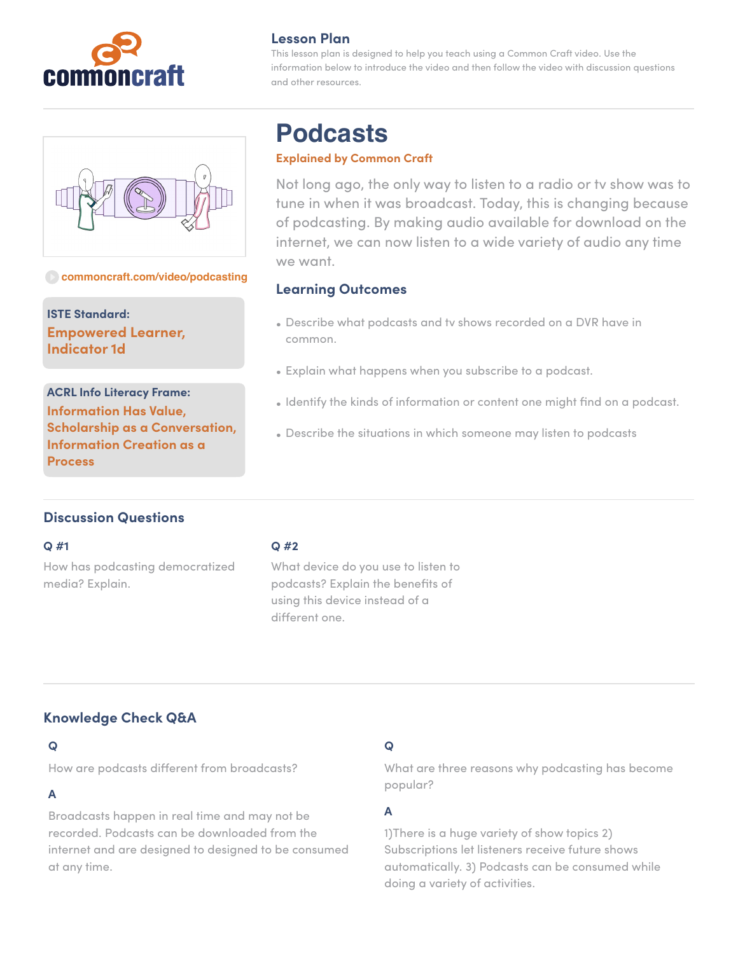



#### **[commoncraft.com/video/podcasting](http://commoncraft.com/video/podcasting)**

**ISTE Standard: Empowered Learner, Indicator 1d**

**ACRL Info Literacy Frame: Information Has Value, Scholarship as a Conversation, Information Creation as a Process**

## **Lesson Plan**

This lesson plan is designed to help you teach using a Common Craft video. Use the information below to introduce the video and then follow the video with discussion questions and other resources.

# **Podcasts**

## **Explained by Common Craft**

Not long ago, the only way to listen to a radio or tv show was to tune in when it was broadcast. Today, this is changing because of podcasting. By making audio available for download on the internet, we can now listen to a wide variety of audio any time we want.

## **Learning Outcomes**

- Describe what podcasts and tv shows recorded on a DVR have in common.
- Explain what happens when you subscribe to a podcast.
- Identify the kinds of information or content one might find on a podcast.
- Describe the situations in which someone may listen to podcasts

# **Discussion Questions**

#### **Q #1**

How has podcasting democratized media? Explain.

### **Q #2**

What device do you use to listen to podcasts? Explain the benefits of using this device instead of a different one.

# **Knowledge Check Q&A**

## **Q**

How are podcasts different from broadcasts?

## **A**

Broadcasts happen in real time and may not be recorded. Podcasts can be downloaded from the internet and are designed to designed to be consumed at any time.

# **Q**

What are three reasons why podcasting has become popular?

## **A**

1)There is a huge variety of show topics 2) Subscriptions let listeners receive future shows automatically. 3) Podcasts can be consumed while doing a variety of activities.